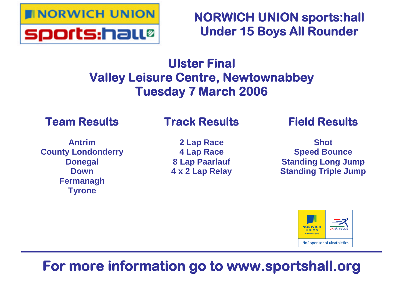

**NORWICH UNION sports:hall Under 15 Boys All Rounder**

## **Ulster Final Valley Leisure Centre, Newtownabbey Tuesday 7 March 2006**

## **Team Results**

## **Track Results**

**Antrim County Londonderry Donegal Down Fermanagh Tyrone**

**2 Lap Race 4 Lap Race 8 Lap Paarlauf 4 x 2 Lap Relay** **Field Results**

**Shot Speed Bounce Standing Long Jump Standing Triple Jump**



## **For more information go to www.sportshall.org**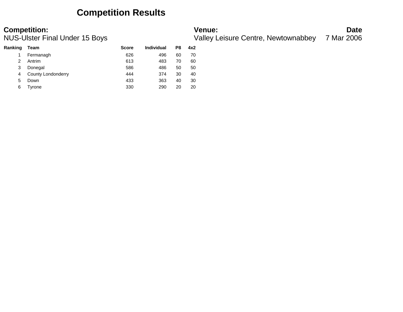## **Competition Results**

| nue: |  |                                        |
|------|--|----------------------------------------|
|      |  | $\mathsf{flow}$ ciouro Contro Noutowns |

**Competition:**<br>**Date**<br>
Valley Leisure Centre, Newtownabbey 7 Mar 2006<br>
Valley Leisure Centre, Newtownabbey 7 Mar 2006 Valley Leisure Centre, Newtownabbey 7 Mar 2006

| Ranking | Team               | <b>Score</b> | Individual | P8 | 4x2 |
|---------|--------------------|--------------|------------|----|-----|
|         | Fermanagh          | 626          | 496        | 60 | 70  |
| 2       | Antrim             | 613          | 483        | 70 | 60  |
| 3       | Donegal            | 586          | 486        | 50 | 50  |
| 4       | County Londonderry | 444          | 374        | 30 | 40  |
| 5       | Down               | 433          | 363        | 40 | 30  |
| 6       | Tyrone             | 330          | 290        | 20 | 20  |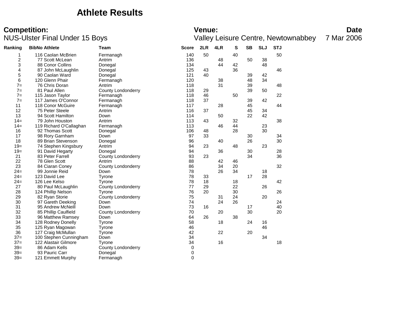## **Athlete Results**

# **Competition:**<br>**Date**<br>
Valley Leisure Centre, Newtownabbey 7 Mar 2006<br>
Valley Leisure Centre, Newtownabbey 7 Mar 2006

| Ranking        | <b>BibNo Athlete</b>    | <b>Team</b>               | <b>Score</b> | 2LR | 4LR | S  | <b>SB</b> | <b>SLJ</b> | <b>STJ</b> |
|----------------|-------------------------|---------------------------|--------------|-----|-----|----|-----------|------------|------------|
| 1              | 116 Caolan McBrien      | Fermanagh                 | 140          | 50  |     | 40 |           |            | 50         |
| $\overline{c}$ | 77 Scott McLean         | Antrim                    | 136          |     | 48  |    | 50        | 38         |            |
| 3              | 88 Conor Collins        | Donegal                   | 134          |     | 44  | 42 |           | 48         |            |
| 4              | 87 John McLaughlin      | Donegal                   | 125          | 43  |     | 36 |           |            | 46         |
| 5              | 90 Caolan Ward          | Donegal                   | 121          | 40  |     |    | 39        | 42         |            |
| 6              | 120 Glenn Phair         | Fermanagh                 | 120          |     | 38  |    | 48        | 34         |            |
| $7=$           | 76 Chris Doran          | Antrim                    | 118          |     | 31  |    | 39        |            | 48         |
| $7=$           | 81 Paul Allen           | <b>County Londonderry</b> | 118          | 29  |     |    | 39        | 50         |            |
| $7=$           | 115 Jason Taylor        | Fermanagh                 | 118          | 46  |     | 50 |           |            | 22         |
| $7=$           | 117 James O'Connor      | Fermanagh                 | 118          | 37  |     |    | 39        | 42         |            |
| 11             | 118 Conor McGuire       | Fermanagh                 | 117          |     | 28  |    | 45        |            | 44         |
| 12             | 75 Peter Steele         | Antrim                    | 116          | 37  |     |    | 45        | 34         |            |
| 13             | 94 Scott Hamilton       | Down                      | 114          |     | 50  |    | 22        | 42         |            |
| $14=$          | 79 John Houston         | Antrim                    | 113          | 43  |     | 32 |           |            | 38         |
| $14=$          | 119 Richard O'Callaghan | Fermanagh                 | 113          |     | 46  | 44 |           | 23         |            |
| 16             | 92 Thomas Scott         | Donegal                   | 106          | 48  |     | 28 |           | 30         |            |
| 17             | 98 Rory Garnham         | Down                      | 97           | 33  |     |    | 30        |            | 34         |
| 18             | 89 Brian Stevenson      | Donegal                   | 96           |     | 40  |    | 26        |            | 30         |
| $19 =$         | 74 Stephen Kingsbury    | Antrim                    | 94           | 23  |     | 48 |           | 23         |            |
| $19 =$         | 91 David Hegarty        | Donegal                   | 94           |     | 36  |    | 30        |            | 28         |
| 21             | 83 Peter Farrell        | <b>County Londonderry</b> | 93           | 23  |     |    | 34        |            | 36         |
| 22             | 78 Glen Scott           | Antrim                    | 88           |     | 42  | 46 |           |            |            |
| 23             | 84 Ciaran Coney         | <b>County Londonderry</b> | 86           |     | 34  | 20 |           |            | 32         |
| $24=$          | 99 Jonnie Reid          | Down                      | 78           |     | 26  | 34 |           | 18         |            |
| $24=$          | 123 David Lee           | Tyrone                    | 78           | 33  |     |    | 17        | 28         |            |
| $24=$          | 126 Lee Kelso           | Tyrone                    | 78           | 18  |     | 18 |           |            | 42         |
| 27             | 80 Paul McLaughlin      | County Londonderry        | 77           | 29  |     | 22 |           | 26         |            |
| 28             | 124 Phillip Nelson      | Tyrone                    | 76           | 20  |     | 30 |           |            | 26         |
| 29             | 82 Ryan Storie          | <b>County Londonderry</b> | 75           |     | 31  | 24 |           | 20         |            |
| 30             | 97 Gareth Deeking       | Down                      | 74           |     | 24  | 26 |           |            | 24         |
| 31             | 95 Andrew McNeill       | Down                      | 73           | 16  |     |    | 17        |            | 40         |
| 32             | 85 Phillip Caulfield    | <b>County Londonderry</b> | 70           |     | 20  |    | 30        |            | 20         |
| 33             | 96 Matthew Ramsey       | Down                      | 64           | 26  |     | 38 |           |            |            |
| 34             | 128 Rodney Donelly      | Tyrone                    | 58           |     | 18  |    | 24        | 16         |            |
| 35             | 125 Ryan Magowan        | Tyrone                    | 46           |     |     |    |           | 46         |            |
| 36             | 127 Craig McMullan      | Tyrone                    | 42           |     | 22  |    | 20        |            |            |
| $37=$          | 100 Stephen Cunningham  | Down                      | 34           |     |     |    |           | 34         |            |
| $37=$          | 122 Alastair Gilmore    | Tyrone                    | 34           |     | 16  |    |           |            | 18         |
| $39=$          | 86 Adam Kells           | <b>County Londonderry</b> | $\,0\,$      |     |     |    |           |            |            |
| $39=$          | 93 Pauric Carr          | Donegal                   | $\mathbf 0$  |     |     |    |           |            |            |
| $39=$          | 121 Emmett Murphy       | Fermanagh                 | $\Omega$     |     |     |    |           |            |            |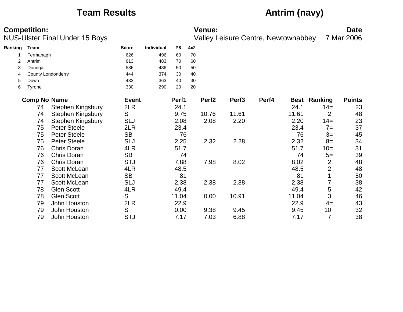## **Team Results Antrim (navy)**

|         | <b>Competition:</b> | <b>NUS-Ulster Final Under 15 Boys</b> | <b>Venue:</b><br>7 Mar 2006<br>Valley Leisure Centre, Newtownabbey |            |                |     |                   |                   |       |             |                | <b>Date</b>   |
|---------|---------------------|---------------------------------------|--------------------------------------------------------------------|------------|----------------|-----|-------------------|-------------------|-------|-------------|----------------|---------------|
| Ranking | Team                |                                       | <b>Score</b>                                                       | Individual | P <sub>8</sub> | 4x2 |                   |                   |       |             |                |               |
|         | Fermanagh           |                                       | 626                                                                | 496        | 60             | 70  |                   |                   |       |             |                |               |
| 2       | Antrim              |                                       | 613                                                                | 483        | 70             | 60  |                   |                   |       |             |                |               |
| 3       | Donegal             |                                       | 586                                                                | 486        | 50             | 50  |                   |                   |       |             |                |               |
| 4       |                     | <b>County Londonderry</b>             | 444                                                                | 374        | 30             | 40  |                   |                   |       |             |                |               |
| 5       | Down                |                                       | 433                                                                | 363        | 40             | 30  |                   |                   |       |             |                |               |
| 6       | Tyrone              |                                       | 330                                                                | 290        | 20             | 20  |                   |                   |       |             |                |               |
|         | <b>Comp No Name</b> |                                       | <b>Event</b>                                                       |            | Perf1          |     | Perf <sub>2</sub> | Perf <sub>3</sub> | Perf4 | <b>Best</b> | Ranking        | <b>Points</b> |
|         | 74                  | Stephen Kingsbury                     | 2LR                                                                |            | 24.1           |     |                   |                   |       | 24.1        | $14=$          | 23            |
|         | 74                  | <b>Stephen Kingsbury</b>              | S                                                                  |            | 9.75           |     | 10.76             | 11.61             |       | 11.61       | $\overline{2}$ | 48            |
|         | 74                  | Stephen Kingsbury                     | <b>SLJ</b>                                                         |            | 2.08           |     | 2.08              | 2.20              |       | 2.20        | $14=$          | 23            |
|         | 75                  | <b>Peter Steele</b>                   | 2LR                                                                |            | 23.4           |     |                   |                   |       | 23.4        | $7=$           | 37            |
|         | 75                  | <b>Peter Steele</b>                   | <b>SB</b>                                                          |            | 76             |     |                   |                   |       | 76          | $3=$           | 45            |
|         | 75                  | <b>Peter Steele</b>                   | <b>SLJ</b>                                                         |            | 2.25           |     | 2.32              | 2.28              |       | 2.32        | $8=$           | 34            |
|         | 76                  | Chris Doran                           | 4LR                                                                |            | 51.7           |     |                   |                   |       | 51.7        | $10=$          | 31            |
|         | 76                  | Chris Doran                           | <b>SB</b>                                                          |            | 74             |     |                   |                   |       | 74          | $5=$           | 39            |
|         | 76                  | Chris Doran                           | <b>STJ</b>                                                         |            | 7.88           |     | 7.98              | 8.02              |       | 8.02        | $\overline{2}$ | 48            |
|         | 77                  | <b>Scott McLean</b>                   | 4LR                                                                |            | 48.5           |     |                   |                   |       | 48.5        | $\overline{2}$ | 48            |
|         | 77                  | Scott McLean                          | <b>SB</b>                                                          |            | 81             |     |                   |                   |       | 81          |                | 50            |
|         | 77                  | <b>Scott McLean</b>                   | <b>SLJ</b>                                                         |            | 2.38           |     | 2.38              | 2.38              |       | 2.38        |                | 38            |
|         | 78                  | <b>Glen Scott</b>                     | 4LR                                                                |            | 49.4           |     |                   |                   |       | 49.4        | 5              | 42            |
|         | 78                  | <b>Glen Scott</b>                     | S                                                                  |            | 11.04          |     | 0.00              | 10.91             |       | 11.04       | 3              | 46            |
|         | 79                  | John Houston                          | 2LR                                                                |            | 22.9           |     |                   |                   |       | 22.9        | $4=$           | 43            |
|         | 79                  | John Houston                          | S                                                                  |            | 0.00           |     | 9.38              | 9.45              |       | 9.45        | 10             | 32            |
|         | 79                  | John Houston                          | <b>STJ</b>                                                         |            | 7.17           |     | 7.03              | 6.88              |       | 7.17        | 7              | 38            |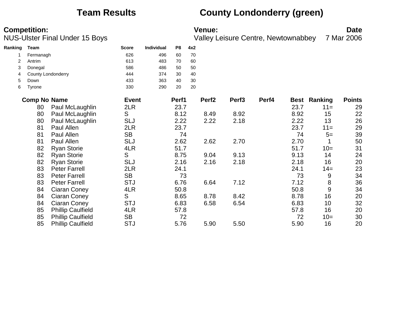## **Team Results County Londonderry (green)**

|                | <b>Competition:</b> | <b>NUS-Ulster Final Under 15 Boys</b> |              |            |                |     | <b>Venue:</b>     | <b>Valley Leisure Centre, Newtownabbey</b> |       |      |                     | <b>Date</b><br>7 Mar 2006 |
|----------------|---------------------|---------------------------------------|--------------|------------|----------------|-----|-------------------|--------------------------------------------|-------|------|---------------------|---------------------------|
| Ranking        | Team                |                                       | <b>Score</b> | Individual | P <sub>8</sub> | 4x2 |                   |                                            |       |      |                     |                           |
|                | Fermanagh           |                                       | 626          | 496        | 60             | 70  |                   |                                            |       |      |                     |                           |
| $\overline{2}$ | Antrim              |                                       | 613          | 483        | 70             | 60  |                   |                                            |       |      |                     |                           |
| 3              | Donegal             |                                       | 586          | 486        | 50             | 50  |                   |                                            |       |      |                     |                           |
| 4              |                     | <b>County Londonderry</b>             | 444          | 374        | 30             | 40  |                   |                                            |       |      |                     |                           |
| 5              | Down                |                                       | 433          | 363        | 40             | 30  |                   |                                            |       |      |                     |                           |
| 6              | Tyrone              |                                       | 330          | 290        | 20             | 20  |                   |                                            |       |      |                     |                           |
|                | <b>Comp No Name</b> |                                       | <b>Event</b> |            | Perf1          |     | Perf <sub>2</sub> | Perf <sub>3</sub>                          | Perf4 |      | <b>Best Ranking</b> | <b>Points</b>             |
|                | 80                  | Paul McLaughlin                       | 2LR          |            | 23.7           |     |                   |                                            |       | 23.7 | $11 =$              | 29                        |
|                | 80                  | Paul McLaughlin                       | S            |            | 8.12           |     | 8.49              | 8.92                                       |       | 8.92 | 15                  | 22                        |
|                | 80                  | Paul McLaughlin                       | <b>SLJ</b>   |            | 2.22           |     | 2.22              | 2.18                                       |       | 2.22 | 13                  | 26                        |
|                | 81                  | Paul Allen                            | 2LR          |            | 23.7           |     |                   |                                            |       | 23.7 | $11 =$              | 29                        |
|                | 81                  | Paul Allen                            | <b>SB</b>    |            | 74             |     |                   |                                            |       | 74   | $5=$                | 39                        |
|                | 81                  | Paul Allen                            | <b>SLJ</b>   |            | 2.62           |     | 2.62              | 2.70                                       |       | 2.70 |                     | 50                        |
|                | 82                  | <b>Ryan Storie</b>                    | 4LR          |            | 51.7           |     |                   |                                            |       | 51.7 | $10=$               | 31                        |
|                | 82                  | <b>Ryan Storie</b>                    | S            |            | 8.75           |     | 9.04              | 9.13                                       |       | 9.13 | 14                  | 24                        |
|                | 82                  | <b>Ryan Storie</b>                    | <b>SLJ</b>   |            | 2.16           |     | 2.16              | 2.18                                       |       | 2.18 | 16                  | 20                        |
|                | 83                  | <b>Peter Farrell</b>                  | 2LR          |            | 24.1           |     |                   |                                            |       | 24.1 | $14=$               | 23                        |
|                | 83                  | <b>Peter Farrell</b>                  | <b>SB</b>    |            | 73             |     |                   |                                            |       | 73   | 9                   | 34                        |
|                | 83                  | <b>Peter Farrell</b>                  | <b>STJ</b>   |            | 6.76           |     | 6.64              | 7.12                                       |       | 7.12 | 8                   | 36                        |
|                | 84                  | <b>Ciaran Coney</b>                   | 4LR          |            | 50.8           |     |                   |                                            |       | 50.8 | 9                   | 34                        |
|                | 84                  | Ciaran Coney                          | S            |            | 8.65           |     | 8.78              | 8.42                                       |       | 8.78 | 16                  | 20                        |
|                | 84                  | <b>Ciaran Coney</b>                   | <b>STJ</b>   |            | 6.83           |     | 6.58              | 6.54                                       |       | 6.83 | 10                  | 32                        |
|                | 85                  | <b>Phillip Caulfield</b>              | 4LR          |            | 57.8           |     |                   |                                            |       | 57.8 | 16                  | 20                        |
|                | 85                  | <b>Phillip Caulfield</b>              | <b>SB</b>    |            | 72             |     |                   |                                            |       | 72   | $10=$               | 30                        |
|                | 85                  | <b>Phillip Caulfield</b>              | <b>STJ</b>   |            | 5.76           |     | 5.90              | 5.50                                       |       | 5.90 | 16                  | 20                        |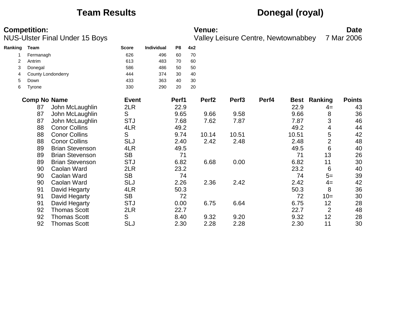## **Team Results Donegal (royal)**

|                | <b>Competition:</b> |                                       |              |            |       |     | <b>Venue:</b>     |                                     |       |             |                | <b>Date</b>   |
|----------------|---------------------|---------------------------------------|--------------|------------|-------|-----|-------------------|-------------------------------------|-------|-------------|----------------|---------------|
|                |                     | <b>NUS-Ulster Final Under 15 Boys</b> |              |            |       |     |                   | Valley Leisure Centre, Newtownabbey |       |             |                | 7 Mar 2006    |
| Ranking        | Team                |                                       | <b>Score</b> | Individual | P8    | 4x2 |                   |                                     |       |             |                |               |
|                | Fermanagh           |                                       | 626          | 496        | 60    | 70  |                   |                                     |       |             |                |               |
| $\overline{c}$ | Antrim              |                                       | 613          | 483        | 70    | 60  |                   |                                     |       |             |                |               |
| 3              | Donegal             |                                       | 586          | 486        | 50    | 50  |                   |                                     |       |             |                |               |
| 4              |                     | County Londonderry                    | 444          | 374        | 30    | 40  |                   |                                     |       |             |                |               |
| 5              | Down                |                                       | 433          | 363        | 40    | 30  |                   |                                     |       |             |                |               |
| 6              | Tyrone              |                                       | 330          | 290        | 20    | 20  |                   |                                     |       |             |                |               |
|                | <b>Comp No Name</b> |                                       | <b>Event</b> |            | Perf1 |     | Perf <sub>2</sub> | Perf <sub>3</sub>                   | Perf4 | <b>Best</b> | Ranking        | <b>Points</b> |
|                | 87                  | John McLaughlin                       | 2LR          |            | 22.9  |     |                   |                                     |       | 22.9        | $4=$           | 43            |
|                | 87                  | John McLaughlin                       | S            |            | 9.65  |     | 9.66              | 9.58                                |       | 9.66        | 8              | 36            |
|                | 87                  | John McLaughlin                       | <b>STJ</b>   |            | 7.68  |     | 7.62              | 7.87                                |       | 7.87        | 3              | 46            |
|                | 88                  | <b>Conor Collins</b>                  | 4LR          |            | 49.2  |     |                   |                                     |       | 49.2        | 4              | 44            |
|                | 88                  | <b>Conor Collins</b>                  | S            |            | 9.74  |     | 10.14             | 10.51                               |       | 10.51       | 5              | 42            |
|                | 88                  | <b>Conor Collins</b>                  | <b>SLJ</b>   |            | 2.40  |     | 2.42              | 2.48                                |       | 2.48        | $\overline{2}$ | 48            |
|                | 89                  | <b>Brian Stevenson</b>                | 4LR          |            | 49.5  |     |                   |                                     |       | 49.5        | $\,6$          | 40            |
|                | 89                  | <b>Brian Stevenson</b>                | <b>SB</b>    |            | 71    |     |                   |                                     |       | 71          | 13             | 26            |
|                | 89                  | <b>Brian Stevenson</b>                | <b>STJ</b>   |            | 6.82  |     | 6.68              | 0.00                                |       | 6.82        | 11             | 30            |
|                | 90                  | Caolan Ward                           | 2LR          |            | 23.2  |     |                   |                                     |       | 23.2        | 6              | 40            |
|                | 90                  | Caolan Ward                           | <b>SB</b>    |            | 74    |     |                   |                                     |       | 74          | $5=$           | 39            |
|                | 90                  | Caolan Ward                           | <b>SLJ</b>   |            | 2.26  |     | 2.36              | 2.42                                |       | 2.42        | $4=$           | 42            |
|                | 91                  | David Hegarty                         | 4LR          |            | 50.3  |     |                   |                                     |       | 50.3        | 8              | 36            |
|                | 91                  | David Hegarty                         | <b>SB</b>    |            | 72    |     |                   |                                     |       | 72          | $10=$          | 30            |
|                | 91                  | David Hegarty                         | <b>STJ</b>   |            | 0.00  |     | 6.75              | 6.64                                |       | 6.75        | 12             | 28            |
|                | 92                  | <b>Thomas Scott</b>                   | 2LR          |            | 22.7  |     |                   |                                     |       | 22.7        | $\overline{2}$ | 48            |
|                | 92                  | <b>Thomas Scott</b>                   | S            |            | 8.40  |     | 9.32              | 9.20                                |       | 9.32        | 12             | 28            |
|                | 92                  | <b>Thomas Scott</b>                   | <b>SLJ</b>   |            | 2.30  |     | 2.28              | 2.28                                |       | 2.30        | 11             | 30            |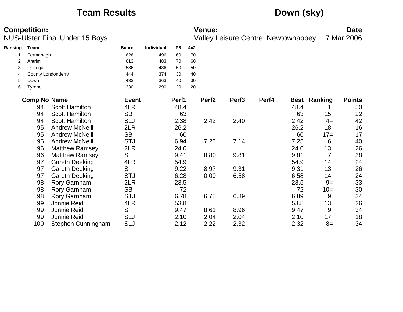## **Team Results Down (sky)**

|         | <b>Competition:</b> |                                       |              |                   |                |     | <b>Venue:</b>     |                   |                                     |      |                     | <b>Date</b>   |
|---------|---------------------|---------------------------------------|--------------|-------------------|----------------|-----|-------------------|-------------------|-------------------------------------|------|---------------------|---------------|
|         |                     | <b>NUS-Ulster Final Under 15 Boys</b> |              |                   |                |     |                   |                   | Valley Leisure Centre, Newtownabbey |      |                     | 7 Mar 2006    |
| Ranking | Team                |                                       | <b>Score</b> | <b>Individual</b> | P <sub>8</sub> | 4x2 |                   |                   |                                     |      |                     |               |
|         | Fermanagh           |                                       | 626          | 496               | 60             | 70  |                   |                   |                                     |      |                     |               |
| 2       | Antrim              |                                       | 613          | 483               | 70             | 60  |                   |                   |                                     |      |                     |               |
| 3       | Donegal             |                                       | 586          | 486               | 50             | 50  |                   |                   |                                     |      |                     |               |
| 4       |                     | County Londonderry                    | 444          | 374               | 30             | 40  |                   |                   |                                     |      |                     |               |
| 5       | Down                |                                       | 433          | 363               | 40             | 30  |                   |                   |                                     |      |                     |               |
| 6       | Tyrone              |                                       | 330          | 290               | 20             | 20  |                   |                   |                                     |      |                     |               |
|         | <b>Comp No Name</b> |                                       | <b>Event</b> |                   | Perf1          |     | Perf <sub>2</sub> | Perf <sub>3</sub> | Perf4                               |      | <b>Best Ranking</b> | <b>Points</b> |
|         | 94                  | <b>Scott Hamilton</b>                 | 4LR          |                   | 48.4           |     |                   |                   |                                     | 48.4 |                     | 50            |
|         | 94                  | <b>Scott Hamilton</b>                 | <b>SB</b>    |                   | 63             |     |                   |                   |                                     | 63   | 15                  | 22            |
|         | 94                  | <b>Scott Hamilton</b>                 | <b>SLJ</b>   |                   | 2.38           |     | 2.42              | 2.40              |                                     | 2.42 | $4=$                | 42            |
|         | 95                  | <b>Andrew McNeill</b>                 | 2LR          |                   | 26.2           |     |                   |                   |                                     | 26.2 | 18                  | 16            |
|         | 95                  | <b>Andrew McNeill</b>                 | <b>SB</b>    |                   | 60             |     |                   |                   |                                     | 60   | $17=$               | 17            |
|         | 95                  | <b>Andrew McNeill</b>                 | <b>STJ</b>   |                   | 6.94           |     | 7.25              | 7.14              |                                     | 7.25 | 6                   | 40            |
|         | 96                  | <b>Matthew Ramsey</b>                 | 2LR          |                   | 24.0           |     |                   |                   |                                     | 24.0 | 13                  | 26            |
|         | 96                  | <b>Matthew Ramsey</b>                 | S            |                   | 9.41           |     | 8.80              | 9.81              |                                     | 9.81 | $\overline{7}$      | 38            |
|         | 97                  | <b>Gareth Deeking</b>                 | 4LR          |                   | 54.9           |     |                   |                   |                                     | 54.9 | 14                  | 24            |
|         | 97                  | <b>Gareth Deeking</b>                 | S            |                   | 9.22           |     | 8.97              | 9.31              |                                     | 9.31 | 13                  | 26            |
|         | 97                  | <b>Gareth Deeking</b>                 | <b>STJ</b>   |                   | 6.28           |     | 0.00              | 6.58              |                                     | 6.58 | 14                  | 24            |
|         | 98                  | Rory Garnham                          | 2LR          |                   | 23.5           |     |                   |                   |                                     | 23.5 | $9=$                | 33            |
|         | 98                  | Rory Garnham                          | <b>SB</b>    |                   | 72             |     |                   |                   |                                     | 72   | $10=$               | 30            |
|         | 98                  | <b>Rory Garnham</b>                   | <b>STJ</b>   |                   | 6.78           |     | 6.75              | 6.89              |                                     | 6.89 | 9                   | 34            |
|         | 99                  | Jonnie Reid                           | 4LR          |                   | 53.8           |     |                   |                   |                                     | 53.8 | 13                  | 26            |
|         | 99                  | Jonnie Reid                           | S            |                   | 9.47           |     | 8.61              | 8.96              |                                     | 9.47 | 9                   | 34            |
|         | 99                  | Jonnie Reid                           | SLJ          |                   | 2.10           |     | 2.04              | 2.04              |                                     | 2.10 | 17                  | 18            |
|         | 100                 | Stephen Cunningham                    | SLJ          |                   | 2.12           |     | 2.22              | 2.32              |                                     | 2.32 | $8=$                | 34            |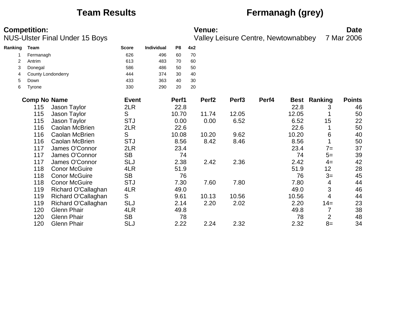120 Glenn Phair

## **Team Results Fermanagh (grey)**

|         | <b>Competition:</b> | <b>NUS-Ulster Final Under 15 Boys</b> |              |                   |                |     | Venue:            |                   | <b>Valley Leisure Centre, Newtownabbey</b> |       |                     | <b>Date</b><br>7 Mar 2006 |
|---------|---------------------|---------------------------------------|--------------|-------------------|----------------|-----|-------------------|-------------------|--------------------------------------------|-------|---------------------|---------------------------|
| Ranking | Team                |                                       | <b>Score</b> | <b>Individual</b> | P <sub>8</sub> | 4x2 |                   |                   |                                            |       |                     |                           |
|         | Fermanagh           |                                       | 626          | 496               | 60             | 70  |                   |                   |                                            |       |                     |                           |
| 2       | Antrim              |                                       | 613          | 483               | 70             | 60  |                   |                   |                                            |       |                     |                           |
| 3       | Donegal             |                                       | 586          | 486               | 50             | 50  |                   |                   |                                            |       |                     |                           |
| 4       |                     | County Londonderry                    | 444          | 374               | 30             | 40  |                   |                   |                                            |       |                     |                           |
| 5       | Down                |                                       | 433          | 363               | 40             | 30  |                   |                   |                                            |       |                     |                           |
| 6       | Tyrone              |                                       | 330          | 290               | 20             | 20  |                   |                   |                                            |       |                     |                           |
|         | <b>Comp No Name</b> |                                       | <b>Event</b> |                   | Perf1          |     | Perf <sub>2</sub> | Perf <sub>3</sub> | Perf4                                      |       | <b>Best Ranking</b> | <b>Points</b>             |
|         | 115                 | Jason Taylor                          | 2LR          |                   | 22.8           |     |                   |                   |                                            | 22.8  | 3                   | 46                        |
|         | 115                 | Jason Taylor                          | S            |                   | 10.70          |     | 11.74             | 12.05             |                                            | 12.05 |                     | 50                        |
|         | 115                 | Jason Taylor                          | <b>STJ</b>   |                   | 0.00           |     | 0.00              | 6.52              |                                            | 6.52  | 15                  | 22                        |
|         | 116                 | Caolan McBrien                        | 2LR          |                   | 22.6           |     |                   |                   |                                            | 22.6  |                     | 50                        |
|         | 116                 | Caolan McBrien                        | S            |                   | 10.08          |     | 10.20             | 9.62              |                                            | 10.20 | 6                   | 40                        |
|         | 116                 | Caolan McBrien                        | <b>STJ</b>   |                   | 8.56           |     | 8.42              | 8.46              |                                            | 8.56  |                     | 50                        |
|         | 117                 | James O'Connor                        | 2LR          |                   | 23.4           |     |                   |                   |                                            | 23.4  | $7 =$               | 37                        |
|         | 117                 | James O'Connor                        | <b>SB</b>    |                   | 74             |     |                   |                   |                                            | 74    | $5=$                | 39                        |
|         | 117                 | James O'Connor                        | <b>SLJ</b>   |                   | 2.38           |     | 2.42              | 2.36              |                                            | 2.42  | $4=$                | 42                        |
|         | 118                 | <b>Conor McGuire</b>                  | 4LR          |                   | 51.9           |     |                   |                   |                                            | 51.9  | 12                  | 28                        |
|         | 118                 | <b>Conor McGuire</b>                  | <b>SB</b>    |                   | 76             |     |                   |                   |                                            | 76    | $3=$                | 45                        |
|         | 118                 | <b>Conor McGuire</b>                  | <b>STJ</b>   |                   | 7.30           |     | 7.60              | 7.80              |                                            | 7.80  | 4                   | 44                        |
|         | 119                 | Richard O'Callaghan                   | 4LR          |                   | 49.0           |     |                   |                   |                                            | 49.0  | 3                   | 46                        |
|         | 119                 | Richard O'Callaghan                   | S            |                   | 9.61           |     | 10.13             | 10.56             |                                            | 10.56 | 4                   | 44                        |

 Richard O'Callaghan SLJ 2.14 2.20 2.02 2.20 14= 23 Glenn Phair 4LR 49.8 49.8 7 38 Glenn Phair SB 78 78 2 48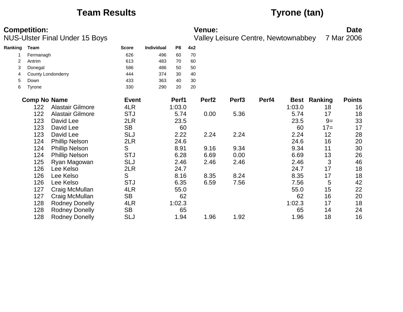## **Team Results Tyrone (tan)**

|         | <b>Competition:</b> | <b>NUS-Ulster Final Under 15 Boys</b> |              |            |                |     | <b>Venue:</b>     | <b>Valley Leisure Centre, Newtownabbey</b> |       |             |         | <b>Date</b><br>7 Mar 2006 |
|---------|---------------------|---------------------------------------|--------------|------------|----------------|-----|-------------------|--------------------------------------------|-------|-------------|---------|---------------------------|
| Ranking | Team                |                                       | <b>Score</b> | Individual | P <sub>8</sub> | 4x2 |                   |                                            |       |             |         |                           |
|         | Fermanagh           |                                       | 626          | 496        | 60             | 70  |                   |                                            |       |             |         |                           |
| 2       | Antrim              |                                       | 613          | 483        | 70             | 60  |                   |                                            |       |             |         |                           |
| 3       | Donegal             |                                       | 586          | 486        | 50             | 50  |                   |                                            |       |             |         |                           |
| 4       |                     | County Londonderry                    | 444          | 374        | 30             | 40  |                   |                                            |       |             |         |                           |
| 5       | Down                |                                       | 433          | 363        | 40             | 30  |                   |                                            |       |             |         |                           |
| 6       | Tyrone              |                                       | 330          | 290        | 20             | 20  |                   |                                            |       |             |         |                           |
|         |                     | <b>Comp No Name</b>                   | <b>Event</b> |            | Perf1          |     | Perf <sub>2</sub> | Perf <sub>3</sub>                          | Perf4 | <b>Best</b> | Ranking | <b>Points</b>             |
|         | 122                 | <b>Alastair Gilmore</b>               | 4LR          |            | 1:03.0         |     |                   |                                            |       | 1:03.0      | 18      | 16                        |
|         | 122                 | <b>Alastair Gilmore</b>               | <b>STJ</b>   |            | 5.74           |     | 0.00              | 5.36                                       |       | 5.74        | 17      | 18                        |
|         | 123                 | David Lee                             | 2LR          |            | 23.5           |     |                   |                                            |       | 23.5        | $9=$    | 33                        |
|         | 123                 | David Lee                             | <b>SB</b>    |            | 60             |     |                   |                                            |       | 60          | $17=$   | 17                        |
|         | 123                 | David Lee                             | <b>SLJ</b>   |            | 2.22           |     | 2.24              | 2.24                                       |       | 2.24        | 12      | 28                        |
|         | 124                 | <b>Phillip Nelson</b>                 | 2LR          |            | 24.6           |     |                   |                                            |       | 24.6        | 16      | 20                        |
|         | 124                 | <b>Phillip Nelson</b>                 | S            |            | 8.91           |     | 9.16              | 9.34                                       |       | 9.34        | 11      | 30                        |
|         | 124                 | <b>Phillip Nelson</b>                 | <b>STJ</b>   |            | 6.28           |     | 6.69              | 0.00                                       |       | 6.69        | 13      | 26                        |
|         | 125                 | Ryan Magowan                          | <b>SLJ</b>   |            | 2.46           |     | 2.46              | 2.46                                       |       | 2.46        | 3       | 46                        |
|         | 126                 | Lee Kelso                             | 2LR          |            | 24.7           |     |                   |                                            |       | 24.7        | 17      | 18                        |
|         | 126                 | Lee Kelso                             | S            |            | 8.16           |     | 8.35              | 8.24                                       |       | 8.35        | 17      | 18                        |
|         | 126                 | Lee Kelso                             | <b>STJ</b>   |            | 6.35           |     | 6.59              | 7.56                                       |       | 7.56        | 5       | 42                        |
|         | 127                 | Craig McMullan                        | 4LR          |            | 55.0           |     |                   |                                            |       | 55.0        | 15      | 22                        |
|         | 127                 | Craig McMullan                        | <b>SB</b>    |            | 62             |     |                   |                                            |       | 62          | 16      | 20                        |
|         | 128                 | <b>Rodney Donelly</b>                 | 4LR          |            | 1:02.3         |     |                   |                                            |       | 1:02.3      | 17      | 18                        |
|         | 128                 | <b>Rodney Donelly</b>                 | <b>SB</b>    |            | 65             |     |                   |                                            |       | 65          | 14      | 24                        |
|         | 128                 | <b>Rodney Donelly</b>                 | <b>SLJ</b>   |            | 1.94           |     | 1.96              | 1.92                                       |       | 1.96        | 18      | 16                        |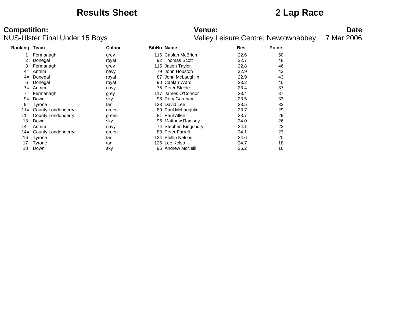## **Results Sheet 2 Lap Race**

## **Competition: Venue: Date**

| <b>NUS-Ulster Final Under 15 Boys</b> | Valley Leisure Centre, Newtownabbey 7 Mar 2006 |
|---------------------------------------|------------------------------------------------|
|---------------------------------------|------------------------------------------------|

| Ranking | Team                    | <b>Colour</b> | <b>BibNo Name</b>    | <b>Best</b> | <b>Points</b> |
|---------|-------------------------|---------------|----------------------|-------------|---------------|
|         | Fermanagh               | grey          | 116 Caolan McBrien   | 22.6        | 50            |
|         | Donegal                 | royal         | 92 Thomas Scott      | 22.7        | 48            |
| 3       | Fermanagh               | grey          | 115 Jason Taylor     | 22.8        | 46            |
| $4=$    | Antrim                  | navy          | 79 John Houston      | 22.9        | 43            |
| $4=$    | Donegal                 | royal         | 87 John McLaughlin   | 22.9        | 43            |
| 6       | Donegal                 | royal         | 90 Caolan Ward       | 23.2        | 40            |
| $7 =$   | Antrim                  | navy          | 75 Peter Steele      | 23.4        | 37            |
| $7 =$   | Fermanagh               | grey          | 117 James O'Connor   | 23.4        | 37            |
| $9=$    | Down                    | sky           | 98 Rory Garnham      | 23.5        | 33            |
| $9 =$   | Tyrone                  | tan           | 123 David Lee        | 23.5        | 33            |
|         | 11= County Londonderry  | green         | 80 Paul McLaughlin   | 23.7        | 29            |
|         | 11= County Londonderry  | green         | 81 Paul Allen        | 23.7        | 29            |
| 13      | Down                    | sky           | 96 Matthew Ramsey    | 24.0        | 26            |
| $14=$   | Antrim                  | navy          | 74 Stephen Kingsbury | 24.1        | 23            |
|         | 14 = County Londonderry | green         | 83 Peter Farrell     | 24.1        | 23            |
| 16      | Tyrone                  | tan           | 124 Phillip Nelson   | 24.6        | 20            |
|         | Tyrone                  | tan           | 126 Lee Kelso        | 24.7        | 18            |
| 18      | Down                    | sky           | 95 Andrew McNeill    | 26.2        | 16            |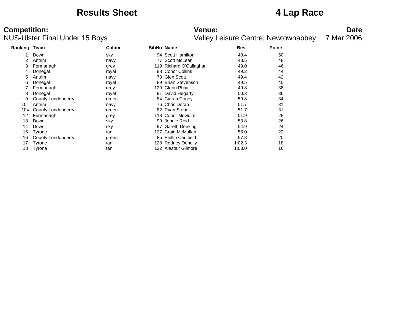## **Results Sheet 4 Lap Race**

# **Competition:**<br>**Date**<br>
Valley Leisure Centre, Newtownabbey 7 Mar 2006<br>
Valley Leisure Centre, Newtownabbey 7 Mar 2006

| Ranking Team |                    | <b>Colour</b> |    | <b>BibNo Name</b>       | <b>Best</b> | <b>Points</b> |  |
|--------------|--------------------|---------------|----|-------------------------|-------------|---------------|--|
|              | Down               | sky           |    | 94 Scott Hamilton       | 48.4        | 50            |  |
|              | Antrim             | navy          |    | 77 Scott McLean         | 48.5        | 48            |  |
| 3            | Fermanagh          | grey          |    | 119 Richard O'Callaghan | 49.0        | 46            |  |
| 4            | Donegal            | royal         |    | 88 Conor Collins        | 49.2        | 44            |  |
| 5            | Antrim             | navy          |    | 78 Glen Scott           | 49.4        | 42            |  |
| 6            | Donegal            | royal         |    | 89 Brian Stevenson      | 49.5        | 40            |  |
|              | Fermanagh          | grey          |    | 120 Glenn Phair         | 49.8        | 38            |  |
| 8            | Donegal            | royal         |    | 91 David Hegarty        | 50.3        | 36            |  |
| 9            | County Londonderry | green         |    | 84 Ciaran Coney         | 50.8        | 34            |  |
| $10=$        | Antrim             | navy          |    | 76 Chris Doran          | 51.7        | 31            |  |
| $10=$        | County Londonderry | green         |    | 82 Ryan Storie          | 51.7        | 31            |  |
| 12           | Fermanagh          | grey          |    | 118 Conor McGuire       | 51.9        | 28            |  |
| 13           | Down               | sky           | 99 | Jonnie Reid             | 53.8        | 26            |  |
| 14           | Down               | sky           |    | 97 Gareth Deeking       | 54.9        | 24            |  |
| 15           | Tyrone             | tan           |    | 127 Craig McMullan      | 55.0        | 22            |  |
| 16           | County Londonderry | green         |    | 85 Phillip Caulfield    | 57.8        | 20            |  |
| 17           | Tyrone             | tan           |    | 128 Rodney Donelly      | 1:02.3      | 18            |  |
| 18           | Tyrone             | tan           |    | 122 Alastair Gilmore    | 1:03.0      | 16            |  |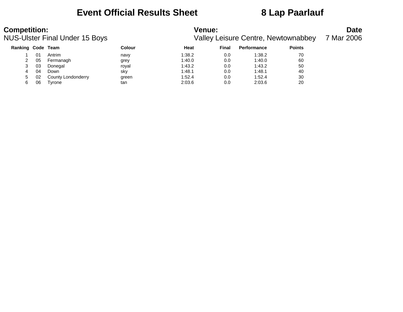## **Event Official Results Sheet 8 Lap Paarlauf**

| <b>Competition:</b><br><b>NUS-Ulster Final Under 15 Boys</b> |    |                    |        | <b>Venue:</b><br><b>Valley Leisure Centre, Newtownabbey</b> | <b>Date</b><br>7 Mar 2006 |                    |               |  |
|--------------------------------------------------------------|----|--------------------|--------|-------------------------------------------------------------|---------------------------|--------------------|---------------|--|
| Ranking Code Team                                            |    |                    | Colour | Heat                                                        | Final                     | <b>Performance</b> | <b>Points</b> |  |
|                                                              | 01 | Antrim             | navy   | 1:38.2                                                      | 0.0                       | 1:38.2             | 70            |  |
|                                                              | 05 | Fermanagh          | grey   | 1:40.0                                                      | 0.0                       | 1:40.0             | 60            |  |
| 3                                                            | 03 | Donegal            | roval  | 1:43.2                                                      | 0.0                       | 1:43.2             | 50            |  |
| 4                                                            | 04 | Down               | sky    | 1:48.1                                                      | 0.0                       | 1:48.1             | 40            |  |
| 5.                                                           | 02 | County Londonderry | green  | 1:52.4                                                      | 0.0                       | 1:52.4             | 30            |  |
| 6                                                            | 06 | Tyrone             | tan    | 2:03.6                                                      | 0.0                       | 2:03.6             | 20            |  |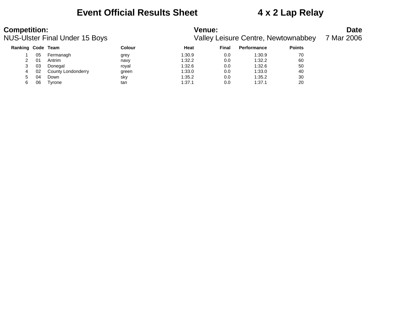## **Event Official Results Sheet 4 x 2 Lap Relay**

# **Competition:**<br>**Date**<br>
Valley Leisure Centre, Newtownabbey 7 Mar 2006<br>
Valley Leisure Centre, Newtownabbey 7 Mar 2006

| Mar 2006 |
|----------|
|          |

| Ranking Code Team |    |                    | Colour | Heat   | Final | <b>Performance</b> | <b>Points</b> |
|-------------------|----|--------------------|--------|--------|-------|--------------------|---------------|
|                   | 05 | Fermanagh          | grey   | 1:30.9 | 0.0   | 1:30.9             | 70            |
|                   | 01 | Antrim             | navy   | 1:32.2 | 0.0   | 1:32.2             | 60            |
|                   | 03 | Donegal            | roval  | 1:32.6 | 0.0   | 1:32.6             | 50            |
| 4                 | 02 | County Londonderry | green  | 1:33.0 | 0.0   | 1:33.0             | 40            |
| 5                 | 04 | Down               | sky    | 1:35.2 | 0.0   | 1:35.2             | 30            |
| 6                 | 06 | Tyrone             | tan    | 1:37.1 | 0.0   | 1:37.1             | 20            |
|                   |    |                    |        |        |       |                    |               |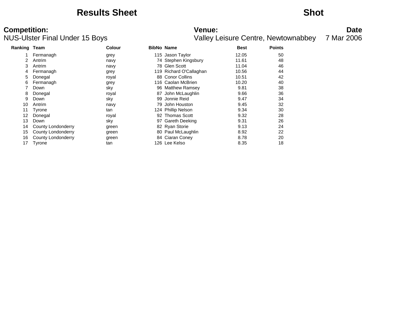## **Results Sheet Shot**

# **Competition:**<br>**Date**<br>
Valley Leisure Centre, Newtownabbey 7 Mar 2006<br>
Valley Leisure Centre, Newtownabbey 7 Mar 2006

| Ranking Team |                    | <b>Colour</b> | <b>BibNo Name</b> |                         | <b>Best</b> | <b>Points</b> |
|--------------|--------------------|---------------|-------------------|-------------------------|-------------|---------------|
|              | Fermanagh          | grey          | 115               | Jason Taylor            | 12.05       | 50            |
| 2            | Antrim             | navy          |                   | 74 Stephen Kingsbury    | 11.61       | 48            |
| 3            | Antrim             | navy          |                   | 78 Glen Scott           | 11.04       | 46            |
| 4            | Fermanagh          | grey          |                   | 119 Richard O'Callaghan | 10.56       | 44            |
| 5            | Donegal            | royal         | 88                | <b>Conor Collins</b>    | 10.51       | 42            |
| 6            | Fermanagh          | grey          |                   | 116 Caolan McBrien      | 10.20       | 40            |
|              | Down               | sky           |                   | 96 Matthew Ramsey       | 9.81        | 38            |
| 8            | Donegal            | royal         | 87                | John McLaughlin         | 9.66        | 36            |
| 9            | Down               | sky           | 99                | Jonnie Reid             | 9.47        | 34            |
| 10           | Antrim             | navy          | 79                | John Houston            | 9.45        | 32            |
| 11           | Tyrone             | tan           |                   | 124 Phillip Nelson      | 9.34        | 30            |
| 12           | Donegal            | royal         |                   | 92 Thomas Scott         | 9.32        | 28            |
| 13           | Down               | sky           |                   | 97 Gareth Deeking       | 9.31        | 26            |
| 14           | County Londonderry | green         |                   | 82 Ryan Storie          | 9.13        | 24            |
| 15           | County Londonderry | green         |                   | 80 Paul McLaughlin      | 8.92        | 22            |
| 16           | County Londonderry | green         |                   | 84 Ciaran Coney         | 8.78        | 20            |
| 17           | Tyrone             | tan           |                   | 126 Lee Kelso           | 8.35        | 18            |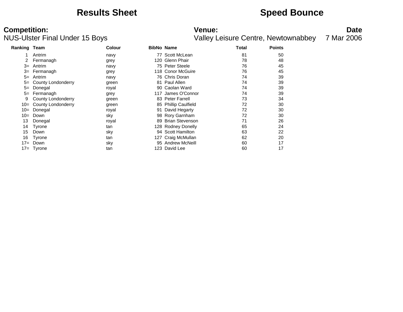## **Results Sheet <b>Speed Bounce Speed Bounce**

# **Competition:**<br>**Date**<br>
Valley Leisure Centre, Newtownabbey 7 Mar 2006<br>
Valley Leisure Centre, Newtownabbey 7 Mar 2006

| <b>Ranking Team</b> |                           | <b>Colour</b> | <b>BibNo Name</b> |                        | Total | <b>Points</b> |
|---------------------|---------------------------|---------------|-------------------|------------------------|-------|---------------|
|                     | Antrim                    | navy          |                   | 77 Scott McLean        | 81    | 50            |
| 2                   | Fermanagh                 | grey          | 120               | <b>Glenn Phair</b>     | 78    | 48            |
| $3=$                | Antrim                    | navy          |                   | 75 Peter Steele        | 76    | 45            |
| $3=$                | Fermanagh                 | grey          |                   | 118 Conor McGuire      | 76    | 45            |
| $5=$                | Antrim                    | navy          |                   | 76 Chris Doran         | 74    | 39            |
|                     | <b>County Londonderry</b> | green         | 81                | Paul Allen             | 74    | 39            |
| $5=$                | Donegal                   | royal         | 90                | Caolan Ward            | 74    | 39            |
| $5=$                | Fermanagh                 | grey          | 117               | James O'Connor         | 74    | 39            |
| 9                   | County Londonderry        | green         |                   | 83 Peter Farrell       | 73    | 34            |
| 10=                 | County Londonderry        | green         |                   | 85 Phillip Caulfield   | 72    | 30            |
| 10=                 | Donegal                   | royal         | 91                | David Hegarty          | 72    | 30            |
| 10=                 | Down                      | sky           |                   | 98 Rory Garnham        | 72    | 30            |
| 13                  | Donegal                   | royal         | 89.               | <b>Brian Stevenson</b> | 71    | 26            |
| 14                  | Tyrone                    | tan           |                   | 128 Rodney Donelly     | 65    | 24            |
| 15                  | Down                      | sky           |                   | 94 Scott Hamilton      | 63    | 22            |
| 16                  | Tyrone                    | tan           |                   | 127 Craig McMullan     | 62    | 20            |
| 17=                 | Down                      | sky           | 95                | <b>Andrew McNeill</b>  | 60    | 17            |
| 17=                 | Tyrone                    | tan           | 123.              | David Lee              | 60    | 17            |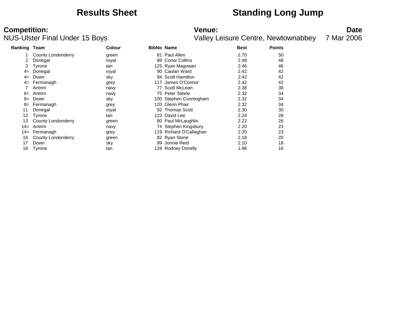## **Results Sheet Standing Long Jump**

# **Competition:**<br>**Date**<br>
Valley Leisure Centre, Newtownabbey 7 Mar 2006<br>
Valley Leisure Centre, Newtownabbey 7 Mar 2006

| <b>Ranking Team</b> |                    | <b>Colour</b> |     | <b>BibNo Name</b>       | <b>Best</b> | <b>Points</b> |
|---------------------|--------------------|---------------|-----|-------------------------|-------------|---------------|
|                     | County Londonderry | green         | 81  | Paul Allen              | 2.70        | 50            |
| 2                   | Donegal            | royal         |     | 88 Conor Collins        | 2.48        | 48            |
| 3                   | Tyrone             | tan           |     | 125 Ryan Magowan        | 2.46        | 46            |
| $4=$                | Donegal            | royal         |     | 90 Caolan Ward          | 2.42        | 42            |
| $4=$                | Down               | sky           |     | 94 Scott Hamilton       | 2.42        | 42            |
| $4=$                | Fermanagh          | grey          | 117 | James O'Connor          | 2.42        | 42            |
|                     | Antrim             | navy          |     | 77 Scott McLean         | 2.38        | 38            |
| 8=                  | Antrim             | navy          |     | 75 Peter Steele         | 2.32        | 34            |
| $8=$                | Down               | sky           |     | 100 Stephen Cunningham  | 2.32        | 34            |
| 8=                  | Fermanagh          | grey          |     | 120 Glenn Phair         | 2.32        | 34            |
| 11                  | Donegal            | royal         |     | 92 Thomas Scott         | 2.30        | 30            |
| 12                  | Tyrone             | tan           |     | 123 David Lee           | 2.24        | 28            |
| 13                  | County Londonderry | green         |     | 80 Paul McLaughlin      | 2.22        | 26            |
| 14=                 | Antrim             | navy          |     | 74 Stephen Kingsbury    | 2.20        | 23            |
| 14=                 | Fermanagh          | grey          |     | 119 Richard O'Callaghan | 2.20        | 23            |
| 16                  | County Londonderry | green         |     | 82 Ryan Storie          | 2.18        | 20            |
| 17                  | Down               | sky           | 99  | Jonnie Reid             | 2.10        | 18            |
| 18                  | Tyrone             | tan           |     | 128 Rodney Donelly      | 1.96        | 16            |